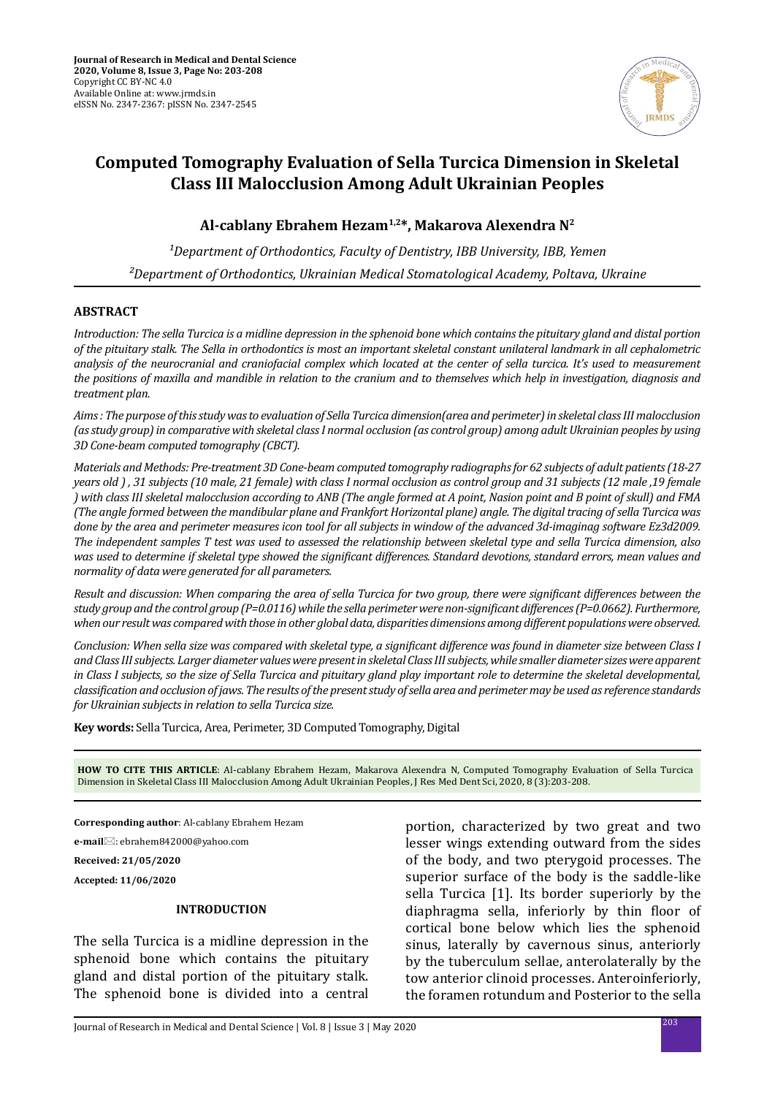

# **Computed Tomography Evaluation of Sella Turcica Dimension in Skeletal Class III Malocclusion Among Adult Ukrainian Peoples**

**Al-cablany Ebrahem Hezam1,2\*, Makarova Alexendra N2**

<sup>1</sup>Department of Orthodontics, Faculty of Dentistry, IBB University, IBB, Yemen *²Department of Orthodontics, Ukrainian Medical Stomatological Academy, Poltava, Ukraine*

## **ABSTRACT**

*Introduction: The sella Turcica is a midline depression in the sphenoid bone which contains the pituitary gland and distal portion of the pituitary stalk. The Sella in orthodontics is most an important skeletal constant unilateral landmark in all cephalometric analysis of the neurocranial and craniofacial complex which located at the center of sella turcica. It's used to measurement the positions of maxilla and mandible in relation to the cranium and to themselves which help in investigation, diagnosis and treatment plan.*

*Aims : The purpose of this study was to evaluation of Sella Turcica dimension(area and perimeter) in skeletal class III malocclusion (as study group) in comparative with skeletal class I normal occlusion (as control group) among adult Ukrainian peoples by using 3D Cone-beam computed tomography (CBCT).*

*Materials and Methods: Pre-treatment 3D Cone-beam computed tomography radiographs for 62 subjects of adult patients (18-27 years old ) , 31 subjects (10 male, 21 female) with class I normal occlusion as control group and 31 subjects (12 male ,19 female ) with class III skeletal malocclusion according to ANB (The angle formed at A point, Nasion point and B point of skull) and FMA (The angle formed between the mandibular plane and Frankfort Horizontal plane) angle. The digital tracing of sella Turcica was done by the area and perimeter measures icon tool for all subjects in window of the advanced 3d-imaginag software Ez3d2009. The independent samples T test was used to assessed the relationship between skeletal type and sella Turcica dimension, also was used to determine if skeletal type showed the significant differences. Standard devotions, standard errors, mean values and normality of data were generated for all parameters.* 

*Result and discussion: When comparing the area of sella Turcica for two group, there were significant differences between the study group and the control group (P=0.0116) while the sella perimeter were non-significant differences (P=0.0662). Furthermore, when our result was compared with those in other global data, disparities dimensions among different populations were observed.* 

*Conclusion: When sella size was compared with skeletal type, a significant difference was found in diameter size between Class I and Class III subjects. Larger diameter values were present in skeletal Class III subjects, while smaller diameter sizes were apparent in Class I subjects, so the size of Sella Turcica and pituitary gland play important role to determine the skeletal developmental, classification and occlusion of jaws. The results of the present study of sella area and perimeter may be used as reference standards for Ukrainian subjects in relation to sella Turcica size.*

**Key words:** Sella Turcica, Area, Perimeter, 3D Computed Tomography, Digital

**HOW TO CITE THIS ARTICLE**: Al-cablany Ebrahem Hezam, Makarova Alexendra N, Computed Tomography Evaluation of Sella Turcica Dimension in Skeletal Class III Malocclusion Among Adult Ukrainian Peoples, J Res Med Dent Sci, 2020, 8 (3):203-208.

**Corresponding author**: Al-cablany Ebrahem Hezam

**e-mail**: ebrahem842000@yahoo.com

**Received: 21/05/2020**

**Accepted: 11/06/2020**

### **INTRODUCTION**

The sella Turcica is a midline depression in the sphenoid bone which contains the pituitary gland and distal portion of the pituitary stalk. The sphenoid bone is divided into a central portion, characterized by two great and two lesser wings extending outward from the sides of the body, and two pterygoid processes. The superior surface of the body is the saddle-like sella Turcica [1]. Its border superiorly by the diaphragma sella, inferiorly by thin floor of cortical bone below which lies the sphenoid sinus, laterally by cavernous sinus, anteriorly by the tuberculum sellae, anterolaterally by the tow anterior clinoid processes. Anteroinferiorly, the foramen rotundum and Posterior to the sella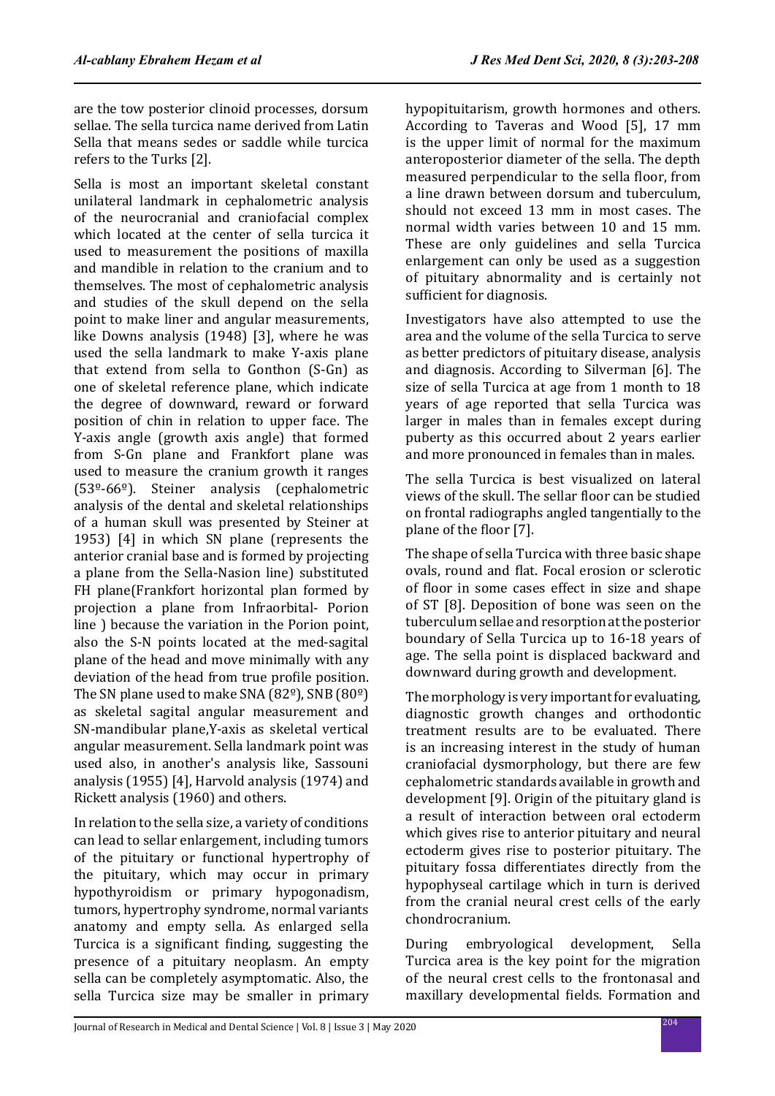are the tow posterior clinoid processes, dorsum sellae. The sella turcica name derived from Latin Sella that means sedes or saddle while turcica refers to the Turks [2].

Sella is most an important skeletal constant unilateral landmark in cephalometric analysis of the neurocranial and craniofacial complex which located at the center of sella turcica it used to measurement the positions of maxilla and mandible in relation to the cranium and to themselves. The most of cephalometric analysis and studies of the skull depend on the sella point to make liner and angular measurements, like Downs analysis (1948) [3], where he was used the sella landmark to make Y-axis plane that extend from sella to Gonthon (S-Gn) as one of skeletal reference plane, which indicate the degree of downward, reward or forward position of chin in relation to upper face. The Y-axis angle (growth axis angle) that formed from S-Gn plane and Frankfort plane was used to measure the cranium growth it ranges (53º-66º). Steiner analysis (cephalometric analysis of the dental and skeletal relationships of a human skull was presented by Steiner at 1953) [4] in which SN plane (represents the anterior cranial base and is formed by projecting a plane from the Sella-Nasion line) substituted FH plane(Frankfort horizontal plan formed by projection a plane from Infraorbital- Porion line ) because the variation in the Porion point, also the S-N points located at the med-sagital plane of the head and move minimally with any deviation of the head from true profile position. The SN plane used to make SNA (82º), SNB (80º) as skeletal sagital angular measurement and SN-mandibular plane,Y-axis as skeletal vertical angular measurement. Sella landmark point was used also, in another's analysis like, Sassouni analysis (1955) [4], Harvold analysis (1974) and Rickett analysis (1960) and others.

In relation to the sella size, a variety of conditions can lead to sellar enlargement, including tumors of the pituitary or functional hypertrophy of the pituitary, which may occur in primary hypothyroidism or primary hypogonadism, tumors, hypertrophy syndrome, normal variants anatomy and empty sella. As enlarged sella Turcica is a significant finding, suggesting the presence of a pituitary neoplasm. An empty sella can be completely asymptomatic. Also, the sella Turcica size may be smaller in primary hypopituitarism, growth hormones and others. According to Taveras and Wood [5], 17 mm is the upper limit of normal for the maximum anteroposterior diameter of the sella. The depth measured perpendicular to the sella floor, from a line drawn between dorsum and tuberculum, should not exceed 13 mm in most cases. The normal width varies between 10 and 15 mm. These are only guidelines and sella Turcica enlargement can only be used as a suggestion of pituitary abnormality and is certainly not sufficient for diagnosis.

Investigators have also attempted to use the area and the volume of the sella Turcica to serve as better predictors of pituitary disease, analysis and diagnosis. According to Silverman [6]. The size of sella Turcica at age from 1 month to 18 years of age reported that sella Turcica was larger in males than in females except during puberty as this occurred about 2 years earlier and more pronounced in females than in males.

The sella Turcica is best visualized on lateral views of the skull. The sellar floor can be studied on frontal radiographs angled tangentially to the plane of the floor [7].

The shape of sella Turcica with three basic shape ovals, round and flat. Focal erosion or sclerotic of floor in some cases effect in size and shape of ST [8]. Deposition of bone was seen on the tuberculum sellae and resorption at the posterior boundary of Sella Turcica up to 16-18 years of age. The sella point is displaced backward and downward during growth and development.

The morphology is very important for evaluating, diagnostic growth changes and orthodontic treatment results are to be evaluated. There is an increasing interest in the study of human craniofacial dysmorphology, but there are few cephalometric standards available in growth and development [9]. Origin of the pituitary gland is a result of interaction between oral ectoderm which gives rise to anterior pituitary and neural ectoderm gives rise to posterior pituitary. The pituitary fossa differentiates directly from the hypophyseal cartilage which in turn is derived from the cranial neural crest cells of the early chondrocranium.

During embryological development, Sella Turcica area is the key point for the migration of the neural crest cells to the frontonasal and maxillary developmental fields. Formation and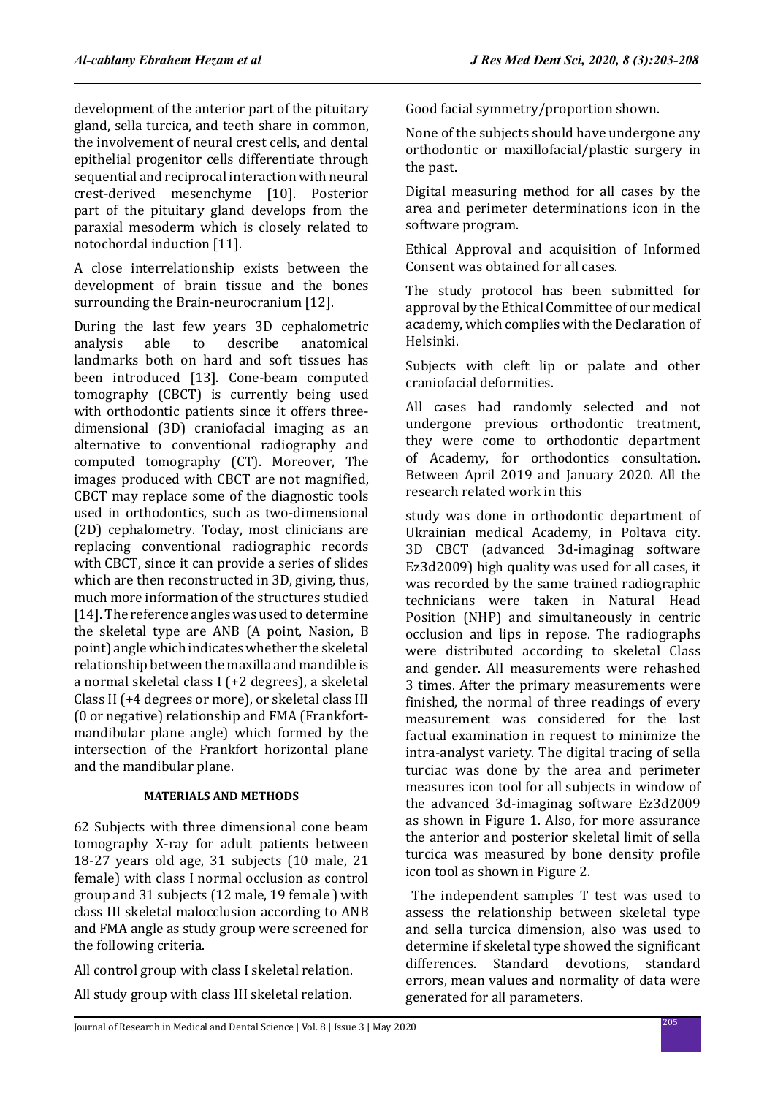development of the anterior part of the pituitary gland, sella turcica, and teeth share in common, the involvement of neural crest cells, and dental epithelial progenitor cells differentiate through sequential and reciprocal interaction with neural crest-derived mesenchyme [10]. Posterior part of the pituitary gland develops from the paraxial mesoderm which is closely related to notochordal induction [11].

A close interrelationship exists between the development of brain tissue and the bones surrounding the Brain-neurocranium [12].

During the last few years 3D cephalometric<br>analysis able to describe anatomical analysis able to describe anatomical landmarks both on hard and soft tissues has been introduced [13]. Cone-beam computed tomography (CBCT) is currently being used with orthodontic patients since it offers threedimensional (3D) craniofacial imaging as an alternative to conventional radiography and computed tomography (CT). Moreover, The images produced with CBCT are not magnified, CBCT may replace some of the diagnostic tools used in orthodontics, such as two-dimensional (2D) cephalometry. Today, most clinicians are replacing conventional radiographic records with CBCT, since it can provide a series of slides which are then reconstructed in 3D, giving, thus, much more information of the structures studied [14]. The reference angles was used to determine the skeletal type are ANB (A point, Nasion, B point) angle which indicates whether the skeletal relationship between the maxilla and mandible is a normal skeletal class I (+2 degrees), a skeletal Class II (+4 degrees or more), or skeletal class III (0 or negative) relationship and FMA (Frankfortmandibular plane angle) which formed by the intersection of the Frankfort horizontal plane and the mandibular plane.

### **MATERIALS AND METHODS**

62 Subjects with three dimensional cone beam tomography X-ray for adult patients between 18-27 years old age, 31 subjects (10 male, 21 female) with class I normal occlusion as control group and 31 subjects (12 male, 19 female ) with class III skeletal malocclusion according to ANB and FMA angle as study group were screened for the following criteria.

All control group with class I skeletal relation.

All study group with class III skeletal relation.

Good facial symmetry/proportion shown.

None of the subjects should have undergone any orthodontic or maxillofacial/plastic surgery in the past.

Digital measuring method for all cases by the area and perimeter determinations icon in the software program.

Ethical Approval and acquisition of Informed Consent was obtained for all cases.

The study protocol has been submitted for approval by the Ethical Committee of our medical academy, which complies with the Declaration of Helsinki.

Subjects with cleft lip or palate and other craniofacial deformities.

All cases had randomly selected and not undergone previous orthodontic treatment, they were come to orthodontic department of Academy, for orthodontics consultation. Between April 2019 and January 2020. All the research related work in this

study was done in orthodontic department of Ukrainian medical Academy, in Poltava city. 3D CBCT (advanced 3d-imaginag software Ez3d2009) high quality was used for all cases, it was recorded by the same trained radiographic technicians were taken in Natural Head Position (NHP) and simultaneously in centric occlusion and lips in repose. The radiographs were distributed according to skeletal Class and gender. All measurements were rehashed 3 times. After the primary measurements were finished, the normal of three readings of every measurement was considered for the last factual examination in request to minimize the intra-analyst variety. The digital tracing of sella turciac was done by the area and perimeter measures icon tool for all subjects in window of the advanced 3d-imaginag software Ez3d2009 as shown in Figure 1. Also, for more assurance the anterior and posterior skeletal limit of sella turcica was measured by bone density profile icon tool as shown in Figure 2.

 The independent samples T test was used to assess the relationship between skeletal type and sella turcica dimension, also was used to determine if skeletal type showed the significant differences. Standard devotions, standard errors, mean values and normality of data were generated for all parameters.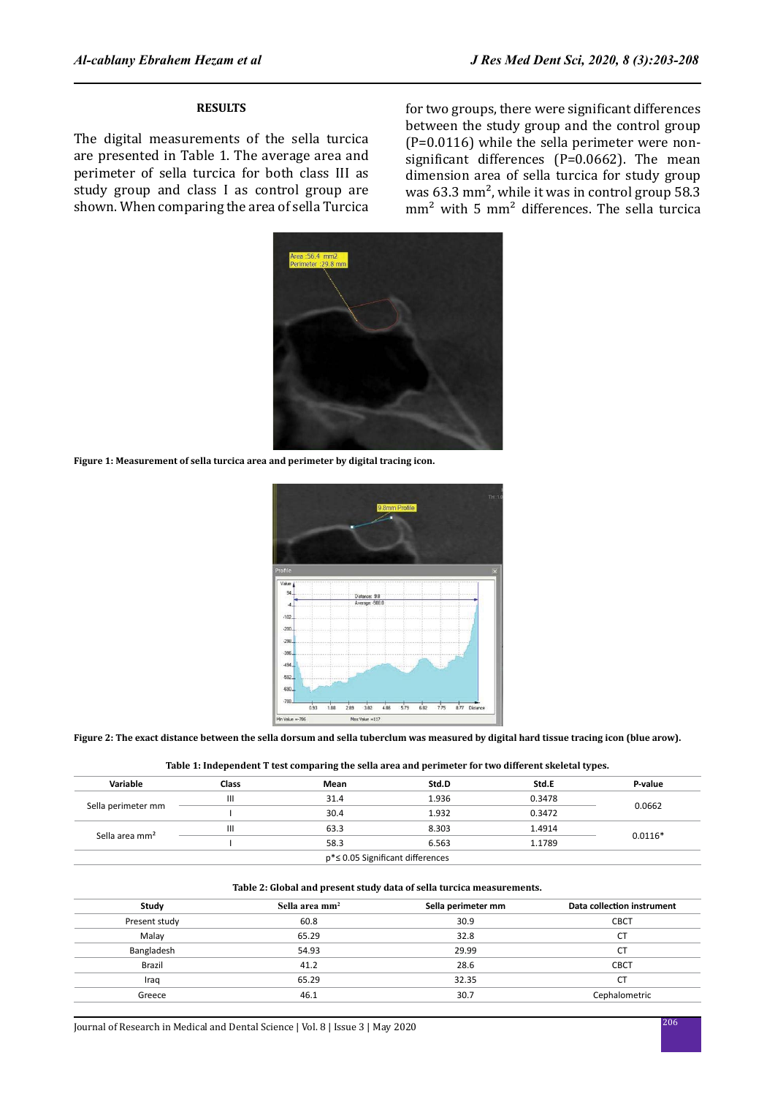### **RESULTS**

The digital measurements of the sella turcica are presented in Table 1. The average area and perimeter of sella turcica for both class III as study group and class I as control group are shown. When comparing the area of sella Turcica for two groups, there were significant differences between the study group and the control group (P=0.0116) while the sella perimeter were nonsignificant differences (P=0.0662). The mean dimension area of sella turcica for study group was 63.3 mm², while it was in control group 58.3 mm² with 5 mm² differences. The sella turcica



**Figure 1: Measurement of sella turcica area and perimeter by digital tracing icon.**



**Figure 2: The exact distance between the sella dorsum and sella tuberclum was measured by digital hard tissue tracing icon (blue arow).**

|  | Table 1: Independent T test comparing the sella area and perimeter for two different skeletal types. |  |
|--|------------------------------------------------------------------------------------------------------|--|
|--|------------------------------------------------------------------------------------------------------|--|

| Variable                   | Class | Mean | Std.D                            | Std.E  | P-value   |  |
|----------------------------|-------|------|----------------------------------|--------|-----------|--|
|                            | Ш     | 31.4 | 1.936                            | 0.3478 | 0.0662    |  |
| Sella perimeter mm         |       | 30.4 | 1.932                            | 0.3472 |           |  |
| Sella area mm <sup>2</sup> | Ш     | 63.3 | 8.303                            | 1.4914 | $0.0116*$ |  |
|                            |       | 58.3 | 6.563                            | 1.1789 |           |  |
|                            |       |      | p*≤ 0.05 Significant differences |        |           |  |

#### **Table 2: Global and present study data of sella turcica measurements.**

| Study         | Sella area mm <sup>2</sup> | Sella perimeter mm | Data collection instrument |
|---------------|----------------------------|--------------------|----------------------------|
| Present study | 60.8                       | 30.9               | <b>CBCT</b>                |
| Malay         | 65.29                      | 32.8               | <b>CT</b>                  |
| Bangladesh    | 54.93                      | 29.99              | <b>CT</b>                  |
| <b>Brazil</b> | 41.2                       | 28.6               | <b>CBCT</b>                |
| Iraq          | 65.29                      | 32.35              | CT                         |
| Greece        | 46.1                       | 30.7               | Cephalometric              |
|               |                            |                    |                            |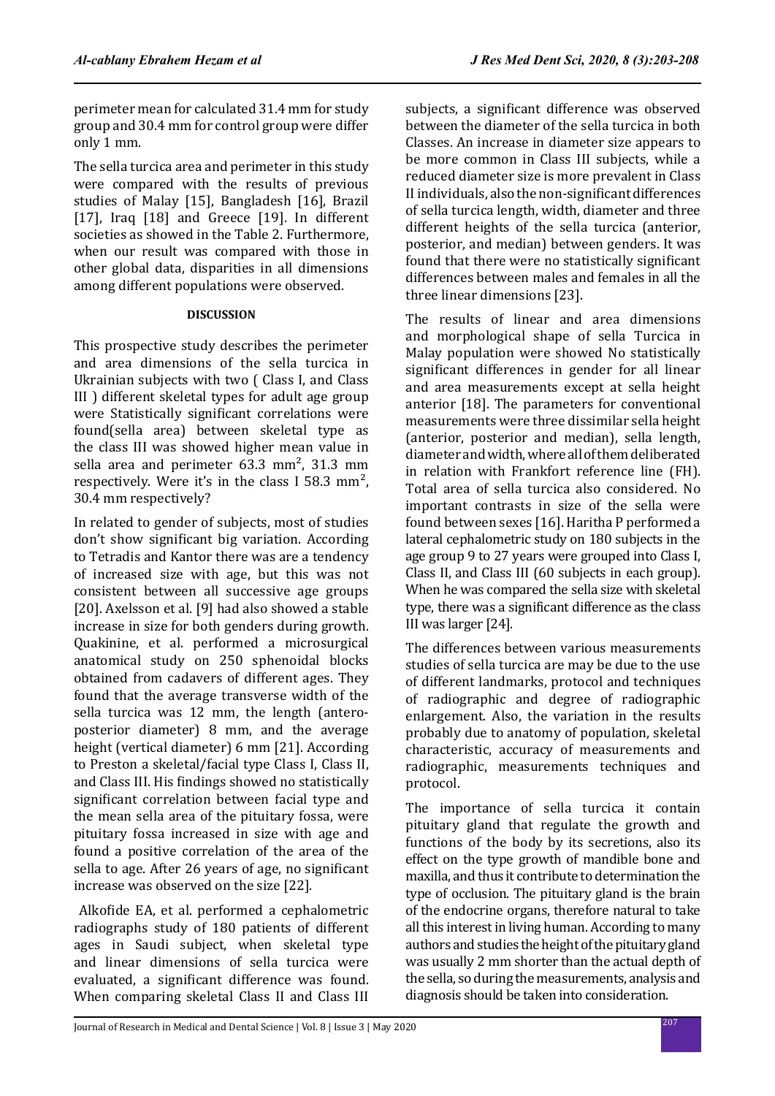perimeter mean for calculated 31.4 mm for study group and 30.4 mm for control group were differ only 1 mm.

The sella turcica area and perimeter in this study were compared with the results of previous studies of Malay [15], Bangladesh [16], Brazil [17], Iraq [18] and Greece [19]. In different societies as showed in the Table 2. Furthermore, when our result was compared with those in other global data, disparities in all dimensions among different populations were observed.

## **DISCUSSION**

This prospective study describes the perimeter and area dimensions of the sella turcica in Ukrainian subjects with two ( Class I, and Class III ) different skeletal types for adult age group were Statistically significant correlations were found(sella area) between skeletal type as the class III was showed higher mean value in sella area and perimeter 63.3 mm², 31.3 mm respectively. Were it's in the class I 58.3 mm², 30.4 mm respectively?

In related to gender of subjects, most of studies don't show significant big variation. According to Tetradis and Kantor there was are a tendency of increased size with age, but this was not consistent between all successive age groups [20]. Axelsson et al. [9] had also showed a stable increase in size for both genders during growth. Quakinine, et al. performed a microsurgical anatomical study on 250 sphenoidal blocks obtained from cadavers of different ages. They found that the average transverse width of the sella turcica was 12 mm, the length (anteroposterior diameter) 8 mm, and the average height (vertical diameter) 6 mm [21]. According to Preston a skeletal/facial type Class I, Class II, and Class III. His findings showed no statistically significant correlation between facial type and the mean sella area of the pituitary fossa, were pituitary fossa increased in size with age and found a positive correlation of the area of the sella to age. After 26 years of age, no significant increase was observed on the size [22].

 Alkofide EA, et al. performed a cephalometric radiographs study of 180 patients of different ages in Saudi subject, when skeletal type and linear dimensions of sella turcica were evaluated, a significant difference was found. When comparing skeletal Class II and Class III subjects, a significant difference was observed between the diameter of the sella turcica in both Classes. An increase in diameter size appears to be more common in Class III subjects, while a reduced diameter size is more prevalent in Class II individuals, also the non-significant differences of sella turcica length, width, diameter and three different heights of the sella turcica (anterior, posterior, and median) between genders. It was found that there were no statistically significant differences between males and females in all the three linear dimensions [23].

The results of linear and area dimensions and morphological shape of sella Turcica in Malay population were showed No statistically significant differences in gender for all linear and area measurements except at sella height anterior [18]. The parameters for conventional measurements were three dissimilar sella height (anterior, posterior and median), sella length, diameter and width, where all of them deliberated in relation with Frankfort reference line (FH). Total area of sella turcica also considered. No important contrasts in size of the sella were found between sexes [16]. Haritha P performed a lateral cephalometric study on 180 subjects in the age group 9 to 27 years were grouped into Class I, Class II, and Class III (60 subjects in each group). When he was compared the sella size with skeletal type, there was a significant difference as the class III was larger [24].

The differences between various measurements studies of sella turcica are may be due to the use of different landmarks, protocol and techniques of radiographic and degree of radiographic enlargement. Also, the variation in the results probably due to anatomy of population, skeletal characteristic, accuracy of measurements and radiographic, measurements techniques and protocol.

The importance of sella turcica it contain pituitary gland that regulate the growth and functions of the body by its secretions, also its effect on the type growth of mandible bone and maxilla, and thus it contribute to determination the type of occlusion. The pituitary gland is the brain of the endocrine organs, therefore natural to take all this interest in living human. According to many authors and studies the height of the pituitary gland was usually 2 mm shorter than the actual depth of the sella, so during the measurements, analysis and diagnosis should be taken into consideration.